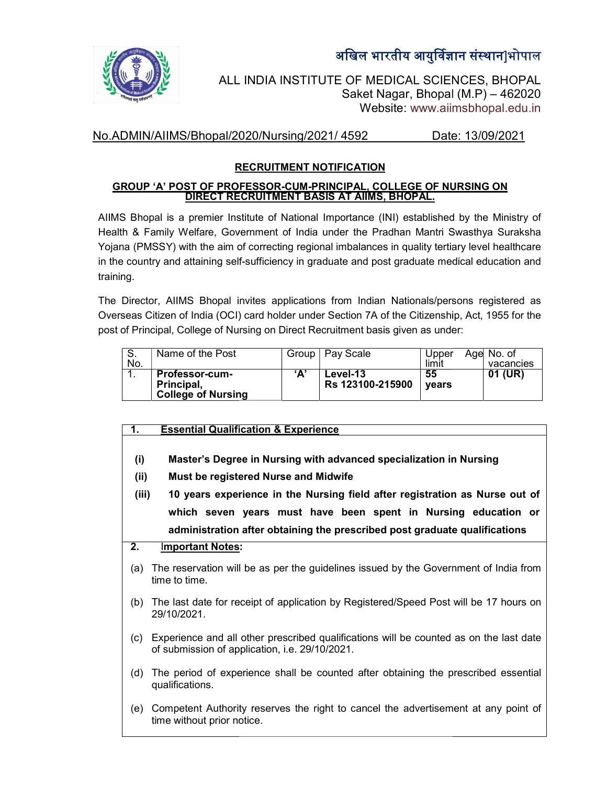



ALL INDIA INSTITUTE OF MEDICAL SCIENCES, BHOPAL<br>Saket Nagar, Bhopal (M.P) – 462020 Saket Nagar, Bhopal (M.P) Website: www.aiimsbhopal.edu.in

#### No.ADMIN/AIIMS/Bhopal/2020/Nursing/2021/ 4592 Date: 13/09/2021 Date: 13/09/2021

# RECRUITMENT NOTIFICATION

#### <u>GROUP 'A' POST OF PROFESSOR-CUM-PRINCIPAL, COLLEGE OF NURSING ON</u> DIRECT RECRUITMENT BASIS AT AIIMS, BHOPAL.

AIIMS Bhopal is a premier Institute of National Importance (INI) established by the Ministry of Health & Family Welfare, Government of India under the Pradhan Mantri Swasthya Suraksha Yojana (PMSSY) with the aim of correcting regional imbalances in quality tertiary level healthcare in the country and attaining self-sufficiency in graduate and post graduate medical education and training. a premier Institute of National Importance (INI) established by the Ministry of<br>Welfare, Government of India under the Pradhan Mantri Swasthya Suraksha<br>with the aim of correcting regional imbalances in quality tertiary lev

The Director, AIIMS Bhopal invites applications from Indian Nationals/persons registered as Overseas Citizen of India (OCI) card holder under Section 7A of the Citizenship, Act, 1955 for the post of Principal, College of Nursing on Direct Recruitment basis given as under:

| J.<br>No. | Name of the Post                                          | Group | Pay Scale                           | Upper<br>limit | Age No. of<br>vacancies |
|-----------|-----------------------------------------------------------|-------|-------------------------------------|----------------|-------------------------|
| . .       | Professor-cum-<br>Principal,<br><b>College of Nursing</b> | "^    | <b>Level-13</b><br>Rs 123100-215900 | 55<br>vears    | (UR)<br>01              |

| <b>Essential Qualification &amp; Experience</b> |  |
|-------------------------------------------------|--|
|                                                 |  |
|                                                 |  |

- (i) Master's Degree in Nursing with advanced specialization in Nursing |
- (ii) Must be registered Nurse and Midwife
- (i) Master's Degree in Nursing with advanced specialization in Nursing<br>(ii) Must be registered Nurse and Midwife<br>(iii) 10 years experience in the Nursing field after registration as Nurse out of  $\big|$ which seven years must have been spent in Nursing education or administration after obtaining the prescribed post graduate qualifications Nursing field after registration as Nurse out of<br>have been spent in Nursing education or<br>ig the prescribed post graduate qualifications

## 2. Important Notes:

- (a) The reservation will be as per the guidelines issued by the Government of India from time to time.
- (b) The last date for receipt of application by Registered/Speed Post will be 29/10/2021. The reservation will be as per the guidelines issued by the Government of India<br>time to time.<br>The last date for receipt of application by Registered/Speed Post will be 17 hour<br>29/10/2021.<br>Experience and all other prescribe for receipt of application by Registered/Speed Post will be 17 hours on  $\mid$
- (c) Experience and all other prescribed qualifications will be counted as on the last date of submission of application, i.e. 29/10/2021.
- (d) The period of experience shall be counted after obtaining the prescribed essential | qualifications. (d) The period of experience shall be counted after obtaining the prescribed essential<br>qualifications.<br>(e) Competent Authority reserves the right to cancel the advertisement at any point of
- time without prior notice. The contract of the without prior notice.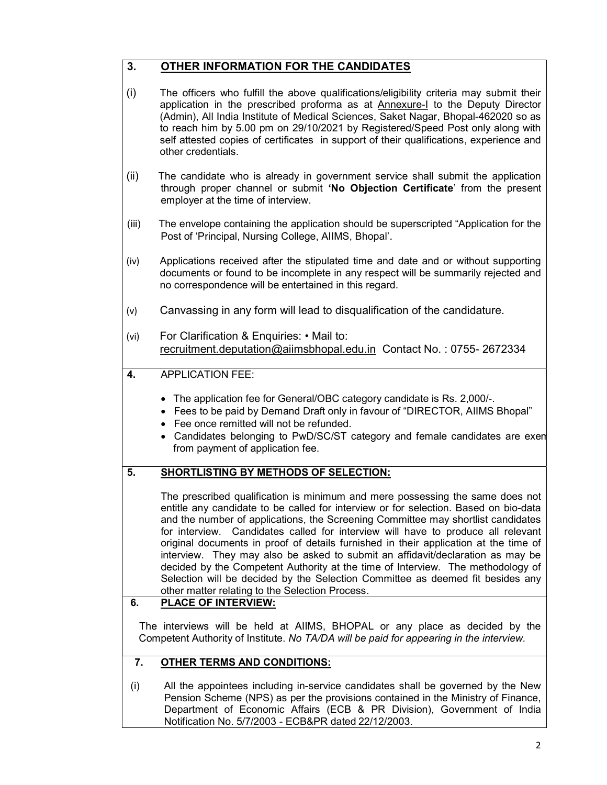## 3. OTHER INFORMATION FOR THE CANDIDATES

- (i) The officers who fulfill the above qualifications/eligibility criteria may submit their application in the prescribed proforma as at Annexure-I to the Deputy Director (Admin), All India Institute of Medical Sciences, Saket Nagar, Bhopal-462020 so as to reach him by 5.00 pm on 29/10/2021 by Registered/Speed Post only along with self attested copies of certificates in support of their qualifications, experience and other credentials.
- (ii) The candidate who is already in government service shall submit the application through proper channel or submit 'No Objection Certificate' from the present employer at the time of interview.
- (iii) The envelope containing the application should be superscripted "Application for the Post of 'Principal, Nursing College, AIIMS, Bhopal'.
- (iv) Applications received after the stipulated time and date and or without supporting documents or found to be incomplete in any respect will be summarily rejected and no correspondence will be entertained in this regard.
- (v) Canvassing in any form will lead to disqualification of the candidature.
- (vi) For Clarification & Enquiries: Mail to: recruitment.deputation@aiimsbhopal.edu.in Contact No. : 0755- 2672334
- 4. APPLICATION FEE:
	- The application fee for General/OBC category candidate is Rs. 2,000/-.
	- Fees to be paid by Demand Draft only in favour of "DIRECTOR, AIIMS Bhopal"
	- Fee once remitted will not be refunded.
	- Candidates belonging to PwD/SC/ST category and female candidates are exen from payment of application fee.

## 5. SHORTLISTING BY METHODS OF SELECTION:

The prescribed qualification is minimum and mere possessing the same does not entitle any candidate to be called for interview or for selection. Based on bio-data and the number of applications, the Screening Committee may shortlist candidates for interview. Candidates called for interview will have to produce all relevant original documents in proof of details furnished in their application at the time of interview. They may also be asked to submit an affidavit/declaration as may be decided by the Competent Authority at the time of Interview. The methodology of Selection will be decided by the Selection Committee as deemed fit besides any other matter relating to the Selection Process.

## 6. PLACE OF INTERVIEW:

The interviews will be held at AIIMS, BHOPAL or any place as decided by the Competent Authority of Institute. No TA/DA will be paid for appearing in the interview.

## 7. OTHER TERMS AND CONDITIONS:

(i) All the appointees including in-service candidates shall be governed by the New Pension Scheme (NPS) as per the provisions contained in the Ministry of Finance, Department of Economic Affairs (ECB & PR Division), Government of India Notification No. 5/7/2003 - ECB&PR dated 22/12/2003.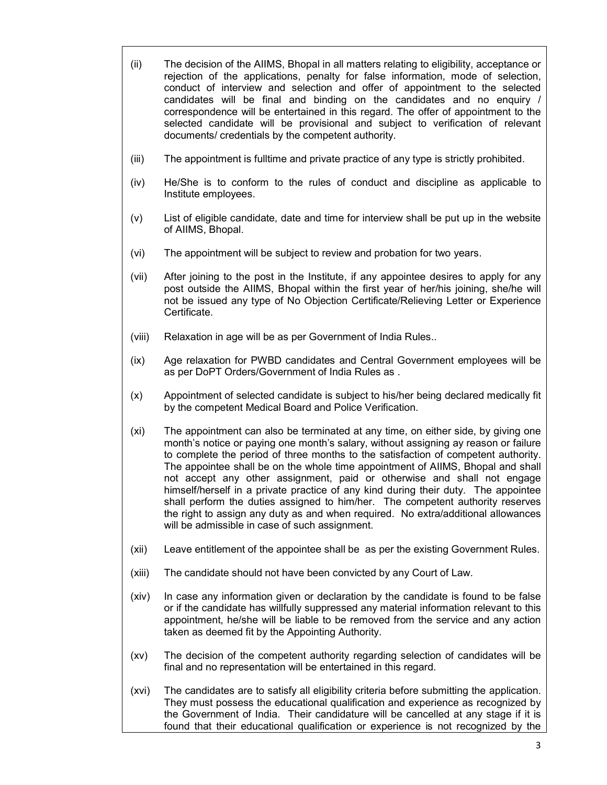| (ii) | The decision of the AIIMS, Bhopal in all matters relating to eligibility, acceptance or<br>rejection of the applications, penalty for false information, mode of selection, |  |  |  |  |  |
|------|-----------------------------------------------------------------------------------------------------------------------------------------------------------------------------|--|--|--|--|--|
|      | conduct of interview and selection and offer of appointment to the selected                                                                                                 |  |  |  |  |  |
|      | candidates will be final and binding on the candidates and no enguiry /                                                                                                     |  |  |  |  |  |
|      | correspondence will be entertained in this regard. The offer of appointment to the                                                                                          |  |  |  |  |  |
|      | selected candidate will be provisional and subject to verification of relevant                                                                                              |  |  |  |  |  |
|      | documents/ credentials by the competent authority.                                                                                                                          |  |  |  |  |  |

- (iii) The appointment is fulltime and private practice of any type is strictly prohibited.
- (iv) He/She is to conform to the rules of conduct and discipline as applicable to Institute employees.
- (v) List of eligible candidate, date and time for interview shall be put up in the website of AIIMS, Bhopal.
- (vi) The appointment will be subject to review and probation for two years.
- (vii) After joining to the post in the Institute, if any appointee desires to apply for any post outside the AIIMS, Bhopal within the first year of her/his joining, she/he will not be issued any type of No Objection Certificate/Relieving Letter or Experience Certificate.
- (viii) Relaxation in age will be as per Government of India Rules..
- (ix) Age relaxation for PWBD candidates and Central Government employees will be as per DoPT Orders/Government of India Rules as .
- (x) Appointment of selected candidate is subject to his/her being declared medically fit by the competent Medical Board and Police Verification.
- (xi) The appointment can also be terminated at any time, on either side, by giving one month's notice or paying one month's salary, without assigning ay reason or failure to complete the period of three months to the satisfaction of competent authority. The appointee shall be on the whole time appointment of AIIMS, Bhopal and shall not accept any other assignment, paid or otherwise and shall not engage himself/herself in a private practice of any kind during their duty. The appointee shall perform the duties assigned to him/her. The competent authority reserves the right to assign any duty as and when required. No extra/additional allowances will be admissible in case of such assignment.
- (xii) Leave entitlement of the appointee shall be as per the existing Government Rules.
- (xiii) The candidate should not have been convicted by any Court of Law.
- (xiv) In case any information given or declaration by the candidate is found to be false or if the candidate has willfully suppressed any material information relevant to this appointment, he/she will be liable to be removed from the service and any action taken as deemed fit by the Appointing Authority.
- (xv) The decision of the competent authority regarding selection of candidates will be final and no representation will be entertained in this regard.
- (xvi) The candidates are to satisfy all eligibility criteria before submitting the application. They must possess the educational qualification and experience as recognized by the Government of India. Their candidature will be cancelled at any stage if it is found that their educational qualification or experience is not recognized by the